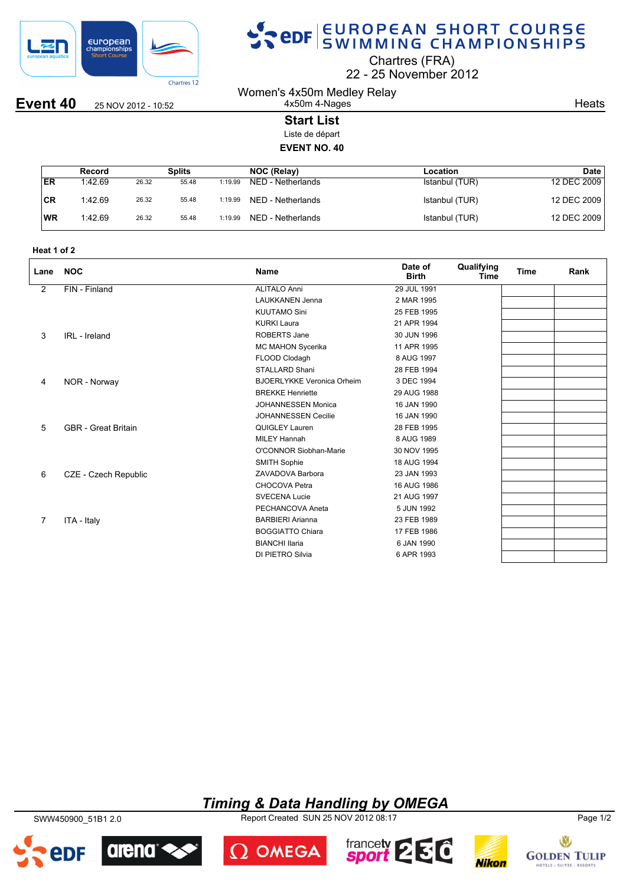

# SPOR SWIMMING CHAMPIONSHIPS

Chartres (FRA)

22 25 November 2012

Women's 4x50m Medley Relay 4x50m 4-Nages

**Event 40** 25 NOV 2012 - 10:52

**Heats** 

### **Start List**

Liste de départ

### **EVENT NO. 40**

|            | Record  |       | Splits |         | NOC (Relay)       | Location       | Date        |
|------------|---------|-------|--------|---------|-------------------|----------------|-------------|
| <b>IER</b> | 1:42.69 | 26.32 | 55.48  | 1:19.99 | NED - Netherlands | Istanbul (TUR) | 12 DEC 2009 |
| CR         | 1:42.69 | 26.32 | 55.48  | 1:19.99 | NED - Netherlands | Istanbul (TUR) | 12 DEC 2009 |
| <b>WR</b>  | 1:42.69 | 26.32 | 55.48  | 1:19.99 | NED - Netherlands | Istanbul (TUR) | 12 DEC 2009 |

| Heat 1 of 2 |  |  |  |
|-------------|--|--|--|
|-------------|--|--|--|

| Lane           | <b>NOC</b>                 | <b>Name</b>                       | Date of<br><b>Birth</b> | Qualifying<br>Time | <b>Time</b> | Rank |
|----------------|----------------------------|-----------------------------------|-------------------------|--------------------|-------------|------|
| $\overline{2}$ | FIN - Finland              | <b>ALITALO Anni</b>               | 29 JUL 1991             |                    |             |      |
|                |                            | <b>LAUKKANEN Jenna</b>            | 2 MAR 1995              |                    |             |      |
|                |                            | <b>KUUTAMO Sini</b>               | 25 FEB 1995             |                    |             |      |
|                |                            | <b>KURKI Laura</b>                | 21 APR 1994             |                    |             |      |
| 3              | IRL - Ireland              | <b>ROBERTS Jane</b>               | 30 JUN 1996             |                    |             |      |
|                |                            | MC MAHON Sycerika                 | 11 APR 1995             |                    |             |      |
|                |                            | FLOOD Clodagh                     | 8 AUG 1997              |                    |             |      |
|                |                            | <b>STALLARD Shani</b>             | 28 FEB 1994             |                    |             |      |
| 4              | NOR - Norway               | <b>BJOERLYKKE Veronica Orheim</b> | 3 DEC 1994              |                    |             |      |
|                |                            | <b>BREKKE Henriette</b>           | 29 AUG 1988             |                    |             |      |
|                |                            | <b>JOHANNESSEN Monica</b>         | 16 JAN 1990             |                    |             |      |
|                |                            | <b>JOHANNESSEN Cecilie</b>        | 16 JAN 1990             |                    |             |      |
| 5              | <b>GBR</b> - Great Britain | QUIGLEY Lauren                    | 28 FEB 1995             |                    |             |      |
|                |                            | <b>MILEY Hannah</b>               | 8 AUG 1989              |                    |             |      |
|                |                            | O'CONNOR Siobhan-Marie            | 30 NOV 1995             |                    |             |      |
|                |                            | <b>SMITH Sophie</b>               | 18 AUG 1994             |                    |             |      |
| 6              | CZE - Czech Republic       | ZAVADOVA Barbora                  | 23 JAN 1993             |                    |             |      |
|                |                            | CHOCOVA Petra                     | 16 AUG 1986             |                    |             |      |
|                |                            | <b>SVECENA Lucie</b>              | 21 AUG 1997             |                    |             |      |
|                |                            | PECHANCOVA Aneta                  | 5 JUN 1992              |                    |             |      |
| 7              | ITA - Italy                | <b>BARBIERI Arianna</b>           | 23 FEB 1989             |                    |             |      |
|                |                            | <b>BOGGIATTO Chiara</b>           | 17 FEB 1986             |                    |             |      |
|                |                            | <b>BIANCHI Ilaria</b>             | 6 JAN 1990              |                    |             |      |
|                |                            | DI PIETRO Silvia                  | 6 APR 1993              |                    |             |      |

## *Timing & Data Handling by OMEGA*

SWW450900\_51B1 2.0 Report Created SUN 25 NOV 2012 08:17 Page 1/2